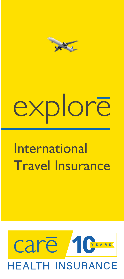

# xplorē

## **International** Travel Insurance

## care YEARS **IEALTH INSURANCE**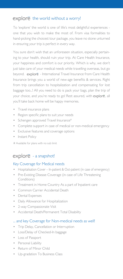#### $explor\overline{e}$  the world without a worry!

To 'explore' the world is one of life's most delightful experiences one that you wish to make the most of. From visa formalities to hand-picking the choicest tour package, you leave no stone unturned in ensuring your trip is perfect in every way.

You sure don't wish that an unforeseen situation, especially pertaining to your health, should ruin your trip. At Care Health Insurance, your happiness and comfort is our priority. Which is why, we don't just take care of your medical needs while travelling overseas, but go beyond. explore - International Travel Insurance from Care Health Insurance brings you a world of new-age benefits & services. Right from trip cancellation to hospitalization and compensating for lost baggage too...! All you need to do is pack your bags, plan the trip of your choice, and you're ready to go! Rest assured, with explore, all you'll take back home will be happy memories.

- Travel insurance plans
- Region specific plans to suit your needs
- Schengen approved Travel Insurance<sup>#</sup>
- Complete support in case of medical or non-medical emergency
- Exclusive features and coverage options
- Instant Policy

# Available for plans with no sub limit

#### explore - a snapshot!

#### Key Coverage for Medical needs

- Hospitalisation Cover In-patient & Out-patient (in case of emergency)
- Pre-Existing Disease Coverage (in case of Life Threatening Conditions)
- Treatment in Home Country As a part of Inpatient care
- Common Carrier Accidental Death
- Dental Expenses
- Daily Allowance for Hospitalization
- 2-way Compassionate Visit
- Accidental Death/Permanent Total Disability

#### ... and key Coverage for Non-medical needs as well!

- Trip Delay, Cancellation or Interruption
- Loss/Delay of Checked-In baggage
- Loss of Passport
- Personal Liability
- Return of Minor Child
- Up-gradation To Business Class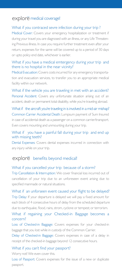#### explore medical coverage!

#### What if you contraced sevre infection during your trip ?

Medical Cover: Covers your emergency hospitalization or treatment if during your travel you are diagnosed with an illness, or any Life Threatening Previous illness. In case you require further treatment even after your return, expenses for the same will be covered up to a period of 30 days or upto policy end date, whichever is earlier.

#### What if you have a medical emtergency during your trip and there is no hospital in the near vicinity?

Medical Evacuation: Covers costs incurred for any emergency transportation and evacuation services, to transfer you to an appropriate medical facility within our network.

What if the vehicle you are traveling in met with an accident? Personal Accident: Covers any unfortunate situation arising out of an accident, death or permanent total disability, while you're traveling abroad.

What if the aircraft you're traveling in is involved in a mid-air mishap? Common Carrier Accidental Death: Lumpsum payment of Sum Insured in case of accidental death as a passenger on a common carrier/transport. Even covers mounting and unmounting during your trip.

#### What if you have a painful fall during your trip and end up with missing teeth?

Dental Expenses: Covers dental expenses incurred in connection with any injury while on your trip.

#### explore benefits beyond medical!

#### What if you cancelled your trip because of a storm?

Trip Cancellation & Interruption: We cover financial loss incurred out of cancellation of your trip due to an unforeseen event arising due to specified manmade or natural situations.

What if an unforseen event caused your flight to be delayed? Trip Delay: If your departure is delayed we will pay a fixed amount for each block of 4 consecutive hours of delay from the scheduled departure due to earthquake, flood, rains, strom, cyclone or tempest; or terrorism.

#### What if regaining your Checked-in Baggage becomes a concern?

Loss of Checked-in Baggage: Covers expenses for your checked-in baggage that you lost while in custody of the Common Carrier.

Delay of Checked-in Baggage: Covers expenses in case of a delay in receipt of the checked-in baggage beyond 12 consecutive hours.

#### What if you can't find your passport?

Worry not! We even cover this.

Loss of Passport: Covers expenses for the issue of a new or duplicate passport.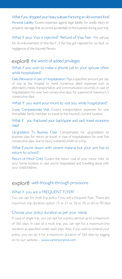What if you dropped your heavy suitcase fracturing an old woman's foot? Personal Liability: Covers expenses against legal liability for bodily injury or property damage that occurred accidentally to third parties during your trip.

What if your Visa is rejected? Refund of Visa Fee: We will pay for re-imbursement of Visa fee if , if the Visa got rejected for no fault or negligence of the Insured Person.

#### explore the world of added privileges

#### What if you wish to make a phone call to your spouse often while hospitalized?

Daily Allowance in case of Hospitalization: Pays a specified amount per day of stay at the hospital to meet numerous allied expenses such as attendant's meals, transportation and communication incurred, in case of hospitalization for over two consecutive days, for a period of maximum 5 consecutive days.

#### What if you want your mom to visit you while hospitalized?

2-way Compassionate Visit: Covers transportation expenses for one immediate family member to travel to the insured's current location.

#### What if you fractured your back/spine and can't travel economy class?

Up-gradation To Business Class: Compensates for up-gradation to business class for return air travel, in case of hospitalization for over five consecutive days, due to injury sustained whilst on a trip.

#### What if you're down with severe malaria but your son has to return to school?

Return of Minor Child: Covers the return cost of your minor child to your home location, in case you're hospitalized and travelling alone with your child/children.

#### explore well-thought-through provisions

#### What if you are a FREQUENT FLYER?

You can opt for multi trip policy if you are a frequent flyer. There are maximum trip duration option 15 or 21 or 30 or 45 or 60 or 90 days

#### Choose your policy duration as per your needs

In case of single trip, you can opt for a policy period up to a maximum of 365 days. In case of a multi trip, you can opt for a maximum trip duration as specified under each plan. Also, if you wish to extend your policy, you can do it for a maximum duration of 365 days by logging on to our website - www.careinsurance.com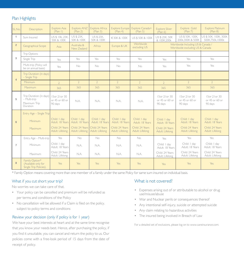#### Plan Highlights

| SL.No.         | Description                                                         | <b>Explore Asia</b><br>(Plan I)                                       | Explore ANZ<br>(Plan 2)                                               | <b>Explore Africa</b><br>(Plan <sub>3</sub> )                         | <b>Explore Europe</b><br>(Plan 4)                                     | Explore Canada+<br>(Plan 5)                                           | <b>Explore Silver</b><br>(Plan 6)                                     | Explore Gold<br>(Plan 7)                                              | <b>Explore Platinum</b><br>(Plan 8)                                   |
|----------------|---------------------------------------------------------------------|-----------------------------------------------------------------------|-----------------------------------------------------------------------|-----------------------------------------------------------------------|-----------------------------------------------------------------------|-----------------------------------------------------------------------|-----------------------------------------------------------------------|-----------------------------------------------------------------------|-----------------------------------------------------------------------|
| 1              | Sum Insured                                                         | US \$ 10k, 25K,<br>50K & 100K                                         | US \$ 25K,<br>50K & 100K                                              | US \$ 25K,<br>50K & 100K                                              | €30K & 100K                                                           | <b>US \$50K &amp; 100K</b>                                            | US \$ 25K, 50K<br>& 100K,200k                                         | US \$50K, 100K.<br>200k.300K & 500K                                   | US \$50K, 100K, 300K<br>500K,750k,1000k                               |
| $\overline{2}$ | Geographical Scope                                                  | Asia                                                                  | Australia &<br>New Zealand                                            | Africa                                                                | Europe & UK                                                           | Worldwide<br>excluding US                                             | Worldwide Including US & Canada /<br>Worldwide excluding US & Canada  |                                                                       |                                                                       |
| 3              | Trip Options                                                        |                                                                       |                                                                       |                                                                       |                                                                       |                                                                       |                                                                       |                                                                       |                                                                       |
|                | Single Trip                                                         | Yes                                                                   | Yes                                                                   | Yes                                                                   | Yes                                                                   | Yes                                                                   | Yes                                                                   | Yes                                                                   | Yes                                                                   |
|                | Multi-trip (Policy will<br>be on annual basis)                      | Yes                                                                   | No                                                                    | No                                                                    | No                                                                    | No                                                                    | Yes                                                                   | Yes                                                                   | Yes                                                                   |
| $\overline{4}$ | Trip Duration (in days)<br>$-$ Single Trip                          |                                                                       |                                                                       |                                                                       |                                                                       |                                                                       |                                                                       |                                                                       |                                                                       |
|                | Minimum                                                             | $\overline{2}$                                                        | $\overline{2}$                                                        | $\overline{2}$                                                        | $\overline{2}$                                                        | $\overline{2}$                                                        | $\overline{2}$                                                        | $\overline{2}$                                                        | $\overline{2}$                                                        |
|                | Maximum                                                             | 365                                                                   | 365                                                                   | 365                                                                   | 365                                                                   | 365                                                                   | 365                                                                   | 365                                                                   | 365                                                                   |
| 5              | Trip Duration (in days)<br>- Multi-trip<br>Maximum Trip<br>Duration | 15 or 21 or 30<br>or 45 or 60 or<br>90 days                           | N.A.                                                                  | N.A.                                                                  | N.A.                                                                  | N.A.                                                                  | 15 or 21 or 30<br>or 45 or 60 or<br>90 days                           | 15 or 21 or 30<br>or 45 or 60 or<br>90 days                           | 15 or 21 or 30<br>or 45 or 60 or<br>90 days                           |
| 6              | Entry Age - Single Trip<br>Minimum<br>Maximum                       | Child: I day<br>Adult: 18 Years<br>Child: 24 Years<br>Adult: Lifelong | Child: I day<br>Adult: 18 Years<br>Child: 24 Years<br>Adult: Lifelong | Child: I day<br>Adult: 18 Years<br>Child: 24 Years<br>Adult: Lifelong | Child: I day<br>Adult: 18 Years<br>Child: 24 Years<br>Adult: Lifelong | Child: I day<br>Adult: 18 Years<br>Child: 24 Years<br>Adult: Lifelong | Child: I day<br>Adult: 18 Years<br>Child: 24 Years<br>Adult: Lifelong | Child: I day<br>Adult: 18 Years<br>Child: 24 Years<br>Adult: Lifelong | Child: I day<br>Adult: 18 Years<br>Child: 24 Years<br>Adult: Lifelong |
|                | Entry Age - Multi-trip                                              | Yes                                                                   | No                                                                    | No                                                                    | No                                                                    | No                                                                    | Yes                                                                   | Yes                                                                   | Yes                                                                   |
| $\overline{7}$ | Minimum                                                             | Child: I day<br>Adult: 18 Years                                       | N.A.                                                                  | N.A.                                                                  | N.A.                                                                  | N.A.                                                                  | Child: I day<br>Adult: 18 Years                                       | Child: I day<br>Adult: 18 Years                                       | Child: I day<br>Adult: 18 Years                                       |
|                | Maximum                                                             | Child: 24 Years<br>Adult: Lifelong                                    | N.A.                                                                  | N.A.                                                                  | N.A.                                                                  | N.A.                                                                  | Child: 24 Years<br>Adult: Lifelong                                    | Child: 24 Years<br>Adult: Lifelong                                    | Child: 24 Years<br>Adult: Lifelong                                    |
| 8              | Family Option*<br>(Available only for<br>Single Trip Policies).     | Yes                                                                   | Yes                                                                   | <b>Yes</b>                                                            | Yes                                                                   | Yes                                                                   | Yes                                                                   | Yes                                                                   | Yes                                                                   |

\* Family Option means covering more than one member of a family under the same Policy for same sum insured on individual basis.

#### What if you cut short your trip?

No worries we can take care of that.

- Your policy can be cancelled and premium will be refunded as per terms and conditions of the Policy
- No cancellation will be allowed if a Claim is filed on the policy. subject to policy terms and conditions

#### Review your decision (only if policy is for 1 year)

We have your best interests at heart and at the same time recognise that you know your needs best. Hence, after purchasing the policy, if you find it unsuitable, you can cancel and return the policy to us. Our policies come with a free-look period of 15 days from the date of receipt of policy.

#### What is not covered?

- Expenses arising out of or attributable to alcohol or drug use/misuse/abuse
- War and Nuclear perils or consequences thereof
- Any intentional self-injury, suicide or attempted suicide
- Any claim relating to hazardous activities
- The insured being involved in Breach of Law

For a detailed set of exclusions, please log on to www.careinsurance.com.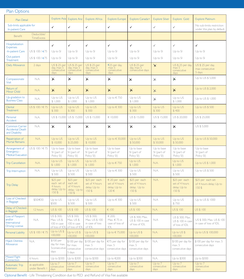#### Plan Options

| Plan Detail                                                           |                                  | Explore Asia                                                | <b>Explore Anz</b>                                          | <b>Explore Africa</b>                                    | <b>Explore Europe</b>                                       | Explore Canada+                                                     | <b>Explore Silver</b>                   | Explore Gold                                             | <b>Explore Platinum</b>                                 |
|-----------------------------------------------------------------------|----------------------------------|-------------------------------------------------------------|-------------------------------------------------------------|----------------------------------------------------------|-------------------------------------------------------------|---------------------------------------------------------------------|-----------------------------------------|----------------------------------------------------------|---------------------------------------------------------|
| Sub-limits applicable for<br>In-patient Care                          |                                  | ✓                                                           | ✓                                                           | ✓                                                        | ✓                                                           | ✓                                                                   | ✓                                       | ✓                                                        | No sub-limits restriction<br>under this plan by default |
| Benefit                                                               | Deductible/<br>TimeExcess        |                                                             |                                                             |                                                          |                                                             |                                                                     |                                         |                                                          |                                                         |
| Hospitalization<br><b>Expenses</b>                                    |                                  | ✓                                                           | ✓                                                           | $\checkmark$                                             | $\checkmark$                                                | ✓                                                                   | ✓                                       | $\checkmark$                                             | ✓                                                       |
| -In-patient Care                                                      | US \$ 100 / €75                  | Up to SI                                                    | Up to SI                                                    | Up to SI                                                 | Up to SI                                                    | Up to SI                                                            | Up to SI                                | Up to SI                                                 | Up to SI                                                |
| Out-patient<br>Treatment                                              | US \$ 100 / €75                  | Up to SI                                                    | Up to SI                                                    | Up to SI                                                 | Up to SI                                                    | Up to SI                                                            | Up to SI                                | Up to SI                                                 | Up to SI                                                |
| Daily Allowance                                                       | 2 days                           | US \$ 25 per<br>day, $max 5$<br>consecutive<br>days         | US \$ 25 per<br>day, max 5<br>consecutive<br>days           | US \$ 25 per<br>day, $max 5$<br>consecutive<br>days      | €25 per day,<br>max 5<br>consecutive<br>days                | US \$ 25 per<br>day, max 5<br>consecutive days                      | $\times$                                | US \$ 25 per day,<br>max 5<br>consecutive<br>days        | US \$ 25 per day,<br>max consecutive<br>5 days          |
| Compassionate<br><b>Visit</b>                                         | N.A.                             | X                                                           | X                                                           | $\times$                                                 | X                                                           | $\times$                                                            | $\times$                                | X                                                        | Up to US \$5,000                                        |
| Return of<br>Minor Child                                              | N.A.                             | $\times$                                                    | $\times$                                                    | $\times$                                                 | $\times$                                                    | $\times$                                                            | $\times$                                | $\times$                                                 | Up to US \$ 2,000                                       |
| Up-gradation to<br><b>Business Class</b>                              | N.A.                             | Up to US<br>\$1,000                                         | Up to US<br>\$1,000                                         | Up to US<br>\$1,000                                      | Up to €750                                                  | Up to US<br>\$1,000                                                 | $\times$                                | Up to US<br>\$1,000                                      | Up to US \$ 1,000                                       |
| Dental<br><b>Treatment</b>                                            | US \$ 100 / € 75                 | $Up$ to $US$<br>\$300                                       | Up to US<br>\$300                                           | Up to US<br>\$300                                        | Up to €300                                                  | Up to US<br>\$300                                                   | Up to US<br>\$300                       | Up to US<br>\$400                                        | Up to US \$500                                          |
| Personal<br>Accident                                                  | N.A.                             | US \$ 15,000                                                | US \$ 15,000                                                | US \$ 15,000                                             | € 10,000                                                    | US \$ 15,000                                                        | US \$ 15,000                            | US \$ 20,000                                             | US \$ 25,000                                            |
| Common Carrier<br><b>Accidental Death</b><br>and Disability           | N.A.                             | $\times$                                                    | $\times$                                                    | $\times$                                                 | $\times$                                                    | $\times$                                                            | $\times$                                | $\times$                                                 | US \$5,000                                              |
| Repatriation of<br><b>Mortal Remains</b>                              | N.A.                             | Up to US<br>\$10,000                                        | Up to US<br>\$25,000                                        | Up to US<br>\$10,000                                     | Up to €30,000                                               | Up to US<br>\$50,000                                                | Up to US<br>\$50,000                    | Up to US<br>\$50,000                                     | Up to US \$50,000                                       |
| Arrangement of<br>Emergency -<br><b>Medical Evacuation</b>            | US \$ 100 / € 75                 | Up to base<br>SI (part of<br>Policy SI)                     | Up to base<br>SI (part of<br>Policy SI)                     | Up to base<br>SI (part of<br>Policy SI)                  | Up to base<br>SI (part of<br>Policy SI)                     | Up to base<br>SI (part of<br>Policy SI)                             | Up to base<br>SI (part of<br>Policy SI) | Up to base<br>SI (part of<br>Policy SI)                  | Up to base<br>SI (part of<br>Policy SI)                 |
| <b>Trip Cancellation</b>                                              | N.A.                             | Up to US<br>\$1,000                                         | Up to US<br>\$1,000                                         | Up to US<br>\$1,000                                      | $Up$ to €750                                                | Up to US<br>\$1,000                                                 | N.A.                                    | Up to US<br>\$1,000                                      | Up to US \$ 1,000                                       |
| Trip Interruption                                                     | N.A.                             | Up to US<br>\$500                                           | Up to US<br>\$500                                           | Up to US<br>\$500                                        | Up to $\in$ 300                                             | Up to US<br>\$500                                                   | N.A.                                    | Up to US<br>\$500                                        | Up to US \$500                                          |
| <b>Trip Delay</b>                                                     |                                  | \$25 per<br>each set of<br>4 hours<br>delay; Up to<br>150\$ | \$25 per<br>each set<br>of 4 hours<br>delay; Up to<br>150\$ | \$25 per each<br>set of 4 hours<br>delay; Up to<br>150\$ | $\in$ 20 per each<br>set of 4 hours<br>delay; Up to<br>120€ | \$25 per each<br>set of 4 hours<br>delay; Up to<br>150 <sup>5</sup> | N.A.                                    | \$25 per each<br>set of 4 hours<br>delay; Up to<br>150\$ | \$25 per each set<br>of 4 hours delay; Up to<br>150S    |
| Loss of Checked-<br>in Baggage                                        | \$50/€30                         | Up to US<br>\$500                                           | Up to US<br>\$500                                           | Up to US<br>\$500                                        | Up to €300                                                  | Up to US<br>\$500                                                   | N.A                                     | Up to US<br>\$750                                        | Up to US \$ 1000                                        |
| Delay of Checked-<br>in Baggage                                       | 12 hours                         | US\$100                                                     | US \$ 100                                                   | US\$100                                                  | € 100                                                       | US\$100                                                             | N.A.                                    | US\$100                                                  | US \$ 100                                               |
| Loss of Passport<br>and/or<br>International<br><b>Driving License</b> | N.A.                             | US \$300;<br>Max. US \$<br>100 in case<br>of loss of IDI    | US \$300;<br>Max. US \$<br>100 in case<br>of loss of IDI    | US \$300;<br>Max. US \$ 100<br>in case of loss<br>of IDL | € 200;<br>Max. € 75 in<br>case of loss of<br>IDL            | US \$ 300; Max.<br>US \$ 100 in case<br>of loss of IDL              | N.A                                     | US \$ 300; Max.<br>US \$ 100 in case<br>of loss of IDL   | US \$300; Max. US \$100<br>in case of loss of IDL       |
| Personal Liability                                                    | US \$ 100 / € 75                 | Up to US\$<br>100,000                                       | Up to US\$<br>100,000                                       | Up to US $$$<br>100,000                                  | Up to €75,000                                               | Up to US $$$<br>100,000                                             | N.A.                                    | Up to US\$<br>100,000                                    | Up to US \$ 100,000                                     |
| <b>Hijack Distress</b><br>Allowance                                   | N.A.                             | \$100 per<br>day for max.<br>5 consecutive<br>days          | \$100 per day<br>for max.<br>consecutive<br>5 days          | \$100 per day for<br>max. 5<br>consecutive days          | €75 per day for<br>max. 5<br>consecutive days               | \$100 per day for<br>max. 5<br>consecutive days                     | N.A.                                    | \$100 per day for<br>max. 5<br>consecutive days          | \$100 per day for max. 5<br>consecutive days            |
| <b>Missed Flight</b><br>Connection                                    | 6 hours                          | Up to \$300                                                 | Up to \$300                                                 | Up to \$300                                              | Up to €200                                                  | Up to \$300                                                         | N.A.                                    | Up to \$300                                              | Up to \$300                                             |
| Automatic Trip<br>Extension                                           | as applicable<br>under Benefit I | $Up$ to $7$<br>consecutive<br>days                          | Up to 7<br>consecutive<br>days                              | Up to 7<br>consecutive<br>days                           | $Up$ to $7$<br>consecutive<br>days                          | $Up$ to $7$<br>consecutive<br>days                                  | $Up$ to $7$<br>consecutive<br>days      | $Up$ to $7$<br>consecutive<br>days                       | Up to 7<br>consecutive<br>days                          |

Optional Benefit - Life Threatening Condition due to PED and Refund of Visa Fee available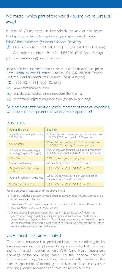#### No matter which part of the world you are, we're just a call away!

In case of Claim, notify us immediately on any of the below touch-points for hassle free processing and speedy settlements. Falck Global Assistance (Assistance Service Provider)

- USA & Canada: +1 844 301 3135 | +1 844 301 3146 (Toll Free) Any other country: +91 124 4498760 (Call Back Facility)
- $\boxtimes$  travelassistance@careinsurance.com

In case of reimbursement of claims, reach us at the below touch points Care Health Insurance Limited - Unit No. 604 - 607, 6th Floor, Tower C, Unitech Cyber Park, Sector-39, Gurugram-122001 (Haryana)

- 1800-102-4488 | 1800-102-6655
- 个 www.careinsurance.com
- $\boxtimes$  travelassistance@careinsurance.com (for claims)
- $\boxtimes$  customerfirst@careinsurance.com (for policy servicing)

#### Be it cashless settlement or reimbursement of medical expenses, we deliver on our promise of worry free experience!

#### Sub-limits

| <b>Medical Expense</b>                                   | Sub-limit                                                                                     |
|----------------------------------------------------------|-----------------------------------------------------------------------------------------------|
| Room Rent including boarding<br>and lodging              | 1.5% of the Sum Insured subject to a maximum<br>of US \$ 2,000 per day / € 1,500 per day      |
| <b>ICU Charges</b>                                       | 2% of the Sum Insured subject to a maximum<br>of US \$3,000 per day / € 2,250 per day         |
| Operation Theatre charges<br>(including Surgeon Charges) | 10% of the Sum Insured subject to a maximum<br>of US \$ 20,000 per Claim / € 15,000 per Claim |
| Anestesia                                                | 25% of the surgery cost payable                                                               |
| Ambulance Services                                       | US \$ 500 per Claim / € 375 per Claim                                                         |
| Diagnostics and Radiology<br>Services                    | US \$ 1,000 per Claim / € 750 per Claim                                                       |
| Medical Practitioners visit fees                         | US \$ 100 per visit / $\in$ 75 per visit subject to<br>maximum of 10 visits per Claim         |
| Miscellaneous Expenses                                   | US \$ 1,000 per Claim / € 750 per Claim                                                       |

For the purpose of application of the above limits :

- (i) Surgery includes operation theatre charges, surgeon fees, implant charges and all other associated charges.
- (ii) Ambulance Services include cost of transportation of the Insured Person to the nearest Hospital and paramedic services.
- (iii) Miscellaneous Expenses includes but not limited to the cost of medicines, pharmacy or drugs supplies, nursing charges, external medical appliances as prescribed by a registered Medical Practitioner as necessary and essential as part of the treatment on actuals, blood storage and processing charges and any other services which are not specified above.

#### Care Health Insurance Limited

Care Health Insurance is a specialized Health Insurer offering health insurance services to employees of corporates, individual customers and for financial inclusion as well. With Care Health Insurance's operating philosophy being based on the principal tenet of 'consumer-centricity', the company has consistently invested in the effective application of technology to deliver excellence in customer servicing, product innovation and value-for-money services.